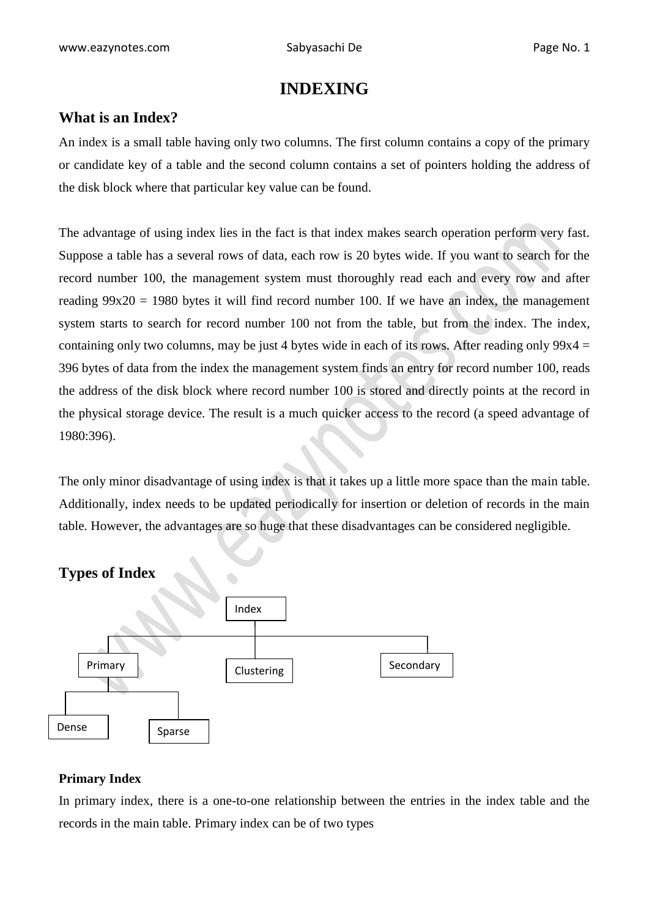# **INDEXING**

# **What is an Index?**

An index is a small table having only two columns. The first column contains a copy of the primary or candidate key of a table and the second column contains a set of pointers holding the address of the disk block where that particular key value can be found.

The advantage of using index lies in the fact is that index makes search operation perform very fast. Suppose a table has a several rows of data, each row is 20 bytes wide. If you want to search for the record number 100, the management system must thoroughly read each and every row and after reading  $99x20 = 1980$  bytes it will find record number 100. If we have an index, the management system starts to search for record number 100 not from the table, but from the index. The index, containing only two columns, may be just 4 bytes wide in each of its rows. After reading only  $99x4 =$ 396 bytes of data from the index the management system finds an entry for record number 100, reads the address of the disk block where record number 100 is stored and directly points at the record in the physical storage device. The result is a much quicker access to the record (a speed advantage of 1980:396).

The only minor disadvantage of using index is that it takes up a little more space than the main table. Additionally, index needs to be updated periodically for insertion or deletion of records in the main table. However, the advantages are so huge that these disadvantages can be considered negligible.



### **Primary Index**

In primary index, there is a one-to-one relationship between the entries in the index table and the records in the main table. Primary index can be of two types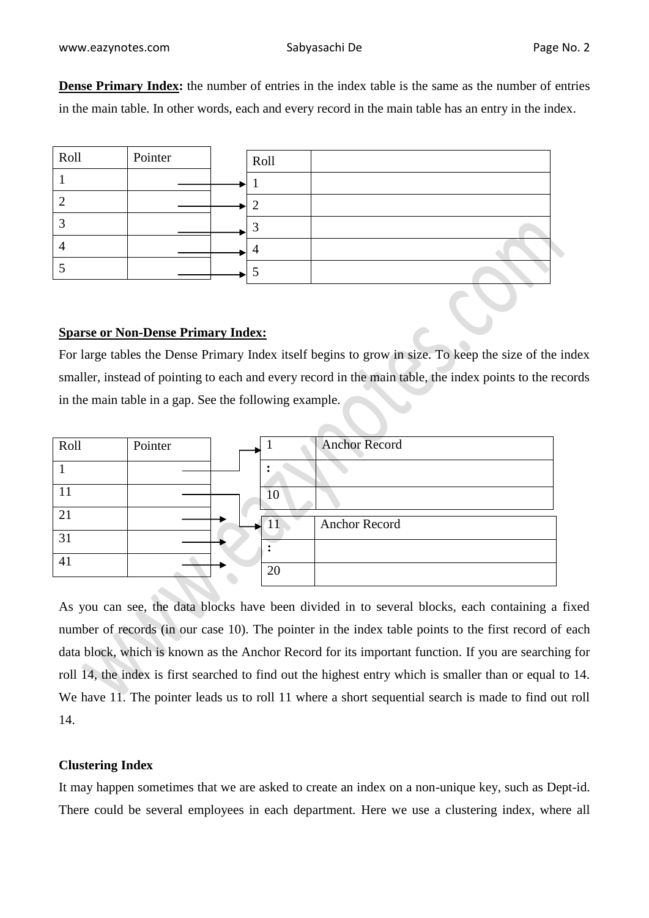**Dense Primary Index:** the number of entries in the index table is the same as the number of entries in the main table. In other words, each and every record in the main table has an entry in the index.

| Roll | Pointer | Roll |  |
|------|---------|------|--|
|      |         |      |  |
|      |         |      |  |
|      |         |      |  |
|      |         |      |  |
|      |         |      |  |

### **Sparse or Non-Dense Primary Index:**

For large tables the Dense Primary Index itself begins to grow in size. To keep the size of the index smaller, instead of pointing to each and every record in the main table, the index points to the records in the main table in a gap. See the following example.



As you can see, the data blocks have been divided in to several blocks, each containing a fixed number of records (in our case 10). The pointer in the index table points to the first record of each data block, which is known as the Anchor Record for its important function. If you are searching for roll 14, the index is first searched to find out the highest entry which is smaller than or equal to 14. We have 11. The pointer leads us to roll 11 where a short sequential search is made to find out roll 14.

## **Clustering Index**

It may happen sometimes that we are asked to create an index on a non-unique key, such as Dept-id. There could be several employees in each department. Here we use a clustering index, where all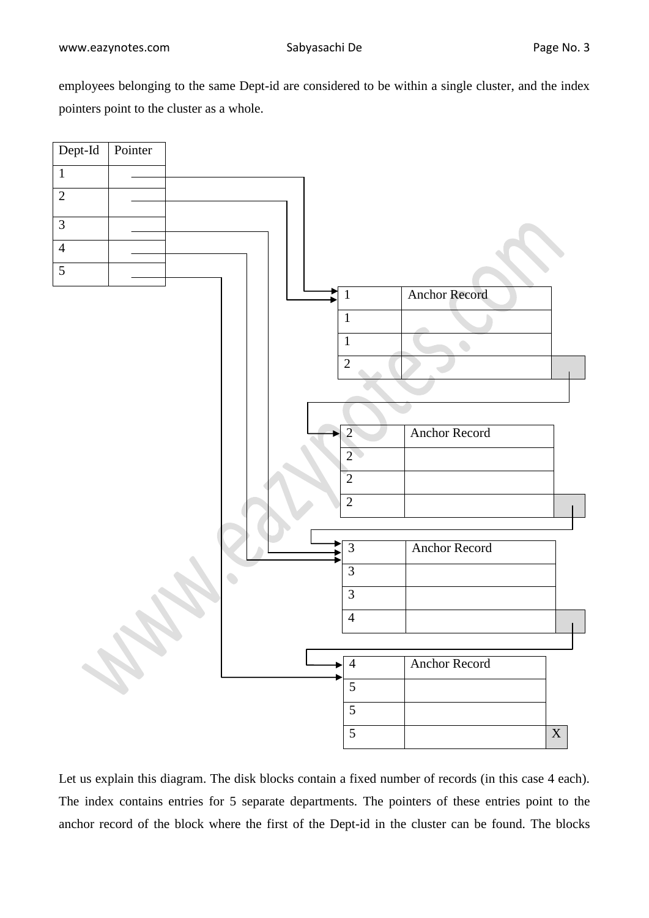employees belonging to the same Dept-id are considered to be within a single cluster, and the index pointers point to the cluster as a whole.



Let us explain this diagram. The disk blocks contain a fixed number of records (in this case 4 each). The index contains entries for 5 separate departments. The pointers of these entries point to the anchor record of the block where the first of the Dept-id in the cluster can be found. The blocks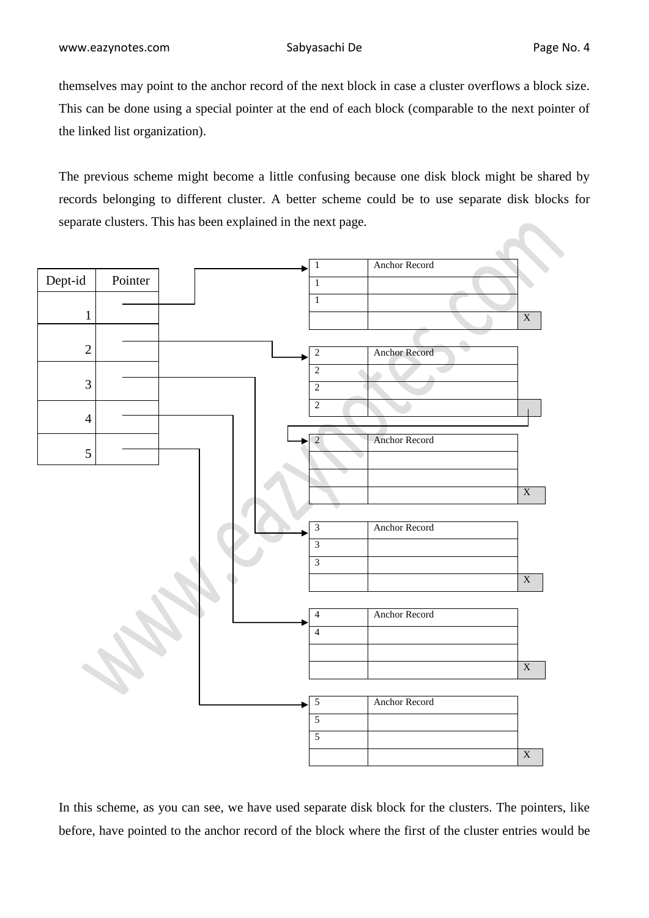themselves may point to the anchor record of the next block in case a cluster overflows a block size. This can be done using a special pointer at the end of each block (comparable to the next pointer of the linked list organization).

The previous scheme might become a little confusing because one disk block might be shared by records belonging to different cluster. A better scheme could be to use separate disk blocks for separate clusters. This has been explained in the next page.



In this scheme, as you can see, we have used separate disk block for the clusters. The pointers, like before, have pointed to the anchor record of the block where the first of the cluster entries would be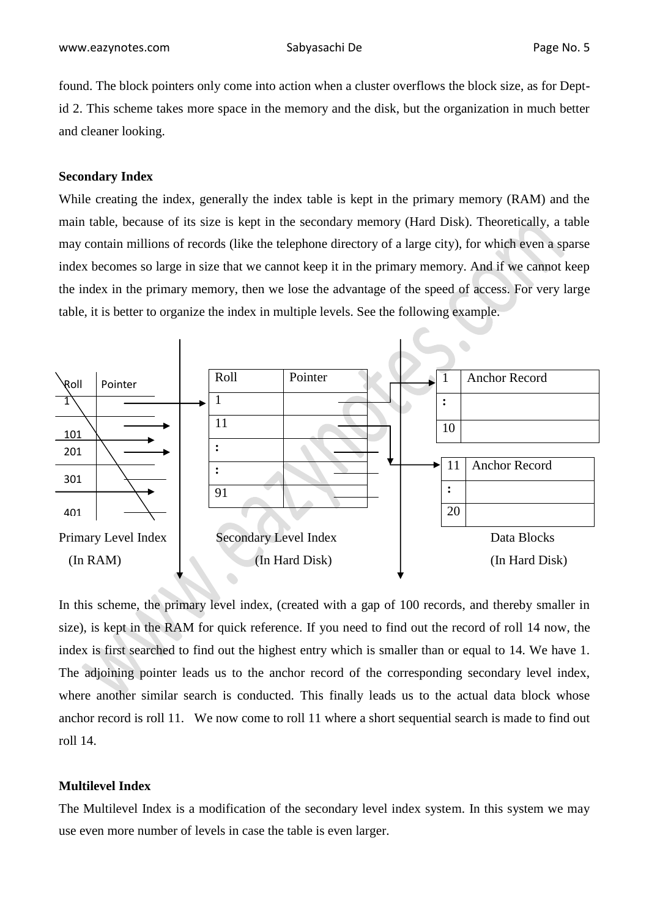found. The block pointers only come into action when a cluster overflows the block size, as for Deptid 2. This scheme takes more space in the memory and the disk, but the organization in much better and cleaner looking.

#### **Secondary Index**

While creating the index, generally the index table is kept in the primary memory (RAM) and the main table, because of its size is kept in the secondary memory (Hard Disk). Theoretically, a table may contain millions of records (like the telephone directory of a large city), for which even a sparse index becomes so large in size that we cannot keep it in the primary memory. And if we cannot keep the index in the primary memory, then we lose the advantage of the speed of access. For very large table, it is better to organize the index in multiple levels. See the following example.



In this scheme, the primary level index, (created with a gap of 100 records, and thereby smaller in size), is kept in the RAM for quick reference. If you need to find out the record of roll 14 now, the index is first searched to find out the highest entry which is smaller than or equal to 14. We have 1. The adjoining pointer leads us to the anchor record of the corresponding secondary level index, where another similar search is conducted. This finally leads us to the actual data block whose anchor record is roll 11. We now come to roll 11 where a short sequential search is made to find out roll 14.

#### **Multilevel Index**

The Multilevel Index is a modification of the secondary level index system. In this system we may use even more number of levels in case the table is even larger.